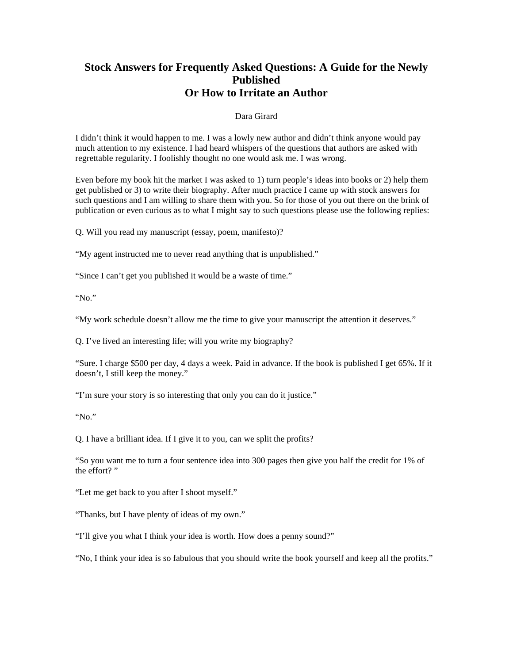## **Stock Answers for Frequently Asked Questions: A Guide for the Newly Published Or How to Irritate an Author**

## Dara Girard

I didn't think it would happen to me. I was a lowly new author and didn't think anyone would pay much attention to my existence. I had heard whispers of the questions that authors are asked with regrettable regularity. I foolishly thought no one would ask me. I was wrong.

Even before my book hit the market I was asked to 1) turn people's ideas into books or 2) help them get published or 3) to write their biography. After much practice I came up with stock answers for such questions and I am willing to share them with you. So for those of you out there on the brink of publication or even curious as to what I might say to such questions please use the following replies:

Q. Will you read my manuscript (essay, poem, manifesto)?

"My agent instructed me to never read anything that is unpublished."

"Since I can't get you published it would be a waste of time."

"No."

"My work schedule doesn't allow me the time to give your manuscript the attention it deserves."

Q. I've lived an interesting life; will you write my biography?

"Sure. I charge \$500 per day, 4 days a week. Paid in advance. If the book is published I get 65%. If it doesn't, I still keep the money."

"I'm sure your story is so interesting that only you can do it justice."

"No."

Q. I have a brilliant idea. If I give it to you, can we split the profits?

"So you want me to turn a four sentence idea into 300 pages then give you half the credit for 1% of the effort?"

"Let me get back to you after I shoot myself."

"Thanks, but I have plenty of ideas of my own."

"I'll give you what I think your idea is worth. How does a penny sound?"

"No, I think your idea is so fabulous that you should write the book yourself and keep all the profits."